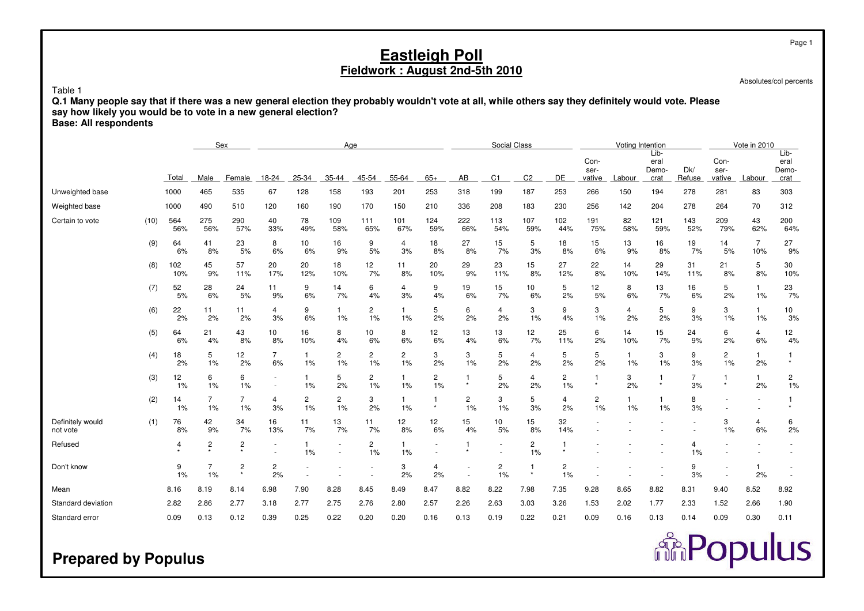Absolutes/col percents

**Repulus** 

Page 1

## Table 1

**Q.1 Many people say that if there was a new general election they probably wouldn't vote at all, while others say they definitely would vote. Please**

**say how likely you would be to vote in a new general election?**

**Base: All respondents**

|                              |      |            |                      | Sex                       |                      |                      | Age                  |            |                    |                         |                      | Social Class |                |                      |                        | Voting Intention |                               |               |                        | Vote in 2010          |                               |
|------------------------------|------|------------|----------------------|---------------------------|----------------------|----------------------|----------------------|------------|--------------------|-------------------------|----------------------|--------------|----------------|----------------------|------------------------|------------------|-------------------------------|---------------|------------------------|-----------------------|-------------------------------|
|                              |      | Total      | Male                 | Female                    | 18-24                | 25-34                | 35-44                | 45-54      | 55-64              | $65+$                   | AB                   | C1           | C <sub>2</sub> | DE                   | Con-<br>ser-<br>vative | Labour           | Lib-<br>eral<br>Demo-<br>crat | Dk/<br>Refuse | Con-<br>ser-<br>vative | Labour                | Lib-<br>eral<br>Demo-<br>crat |
| Unweighted base              |      | 1000       | 465                  | 535                       | 67                   | 128                  | 158                  | 193        | 201                | 253                     | 318                  | 199          | 187            | 253                  | 266                    | 150              | 194                           | 278           | 281                    | 83                    | 303                           |
| Weighted base                |      | 1000       | 490                  | 510                       | 120                  | 160                  | 190                  | 170        | 150                | 210                     | 336                  | 208          | 183            | 230                  | 256                    | 142              | 204                           | 278           | 264                    | 70                    | 312                           |
| Certain to vote              | (10) | 564<br>56% | 275<br>56%           | 290<br>57%                | 40<br>33%            | 78<br>49%            | 109<br>58%           | 111<br>65% | 101<br>67%         | 124<br>59%              | 222<br>66%           | 113<br>54%   | 107<br>59%     | 102<br>44%           | 191<br>75%             | 82<br>58%        | 121<br>59%                    | 143<br>52%    | 209<br>79%             | 43<br>62%             | 200<br>64%                    |
|                              | (9)  | 64<br>6%   | 41<br>8%             | 23<br>5%                  | 8<br>6%              | 10<br>6%             | 16<br>9%             | 9<br>5%    | 4<br>3%            | 18<br>8%                | 27<br>8%             | 15<br>7%     | 5<br>3%        | 18<br>8%             | 15<br>6%               | 13<br>9%         | 16<br>8%                      | 19<br>7%      | 14<br>5%               | $\overline{7}$<br>10% | 27<br>9%                      |
|                              | (8)  | 102<br>10% | 45<br>9%             | 57<br>11%                 | 20<br>17%            | 20<br>12%            | 18<br>10%            | 12<br>7%   | 11<br>8%           | 20<br>10%               | 29<br>9%             | 23<br>11%    | 15<br>8%       | 27<br>12%            | 22<br>8%               | 14<br>10%        | 29<br>14%                     | 31<br>11%     | 21<br>8%               | 5<br>8%               | 30<br>10%                     |
|                              | (7)  | 52<br>5%   | 28<br>6%             | 24<br>5%                  | 11<br>9%             | 9<br>6%              | 14<br>7%             | 6<br>4%    | 4<br>3%            | 9<br>4%                 | 19<br>6%             | 15<br>7%     | 10<br>6%       | 5<br>2%              | 12<br>5%               | 8<br>6%          | 13<br>7%                      | 16<br>6%      | 5<br>2%                | $\mathbf{1}$<br>1%    | 23<br>7%                      |
|                              | (6)  | 22<br>2%   | 11<br>2%             | 11<br>2%                  | 4<br>3%              | 9<br>6%              | 1%                   | 2<br>1%    | $\mathbf{1}$<br>1% | 5<br>2%                 | 6<br>2%              | 4<br>2%      | 3<br>1%        | 9<br>4%              | 3<br>$1\%$             | 4<br>2%          | 5<br>2%                       | 9<br>3%       | 3<br>1%                | 1<br>$1\%$            | 10<br>3%                      |
|                              | (5)  | 64<br>6%   | 21<br>4%             | 43<br>8%                  | 10<br>8%             | 16<br>10%            | 8<br>4%              | 10<br>6%   | 8<br>6%            | 12<br>6%                | 13<br>4%             | 13<br>6%     | 12<br>7%       | 25<br>11%            | 6<br>2%                | 14<br>10%        | 15<br>7%                      | 24<br>9%      | 6<br>2%                | 4<br>6%               | 12<br>4%                      |
|                              | (4)  | 18<br>2%   | 5<br>1%              | 12<br>2%                  | 7<br>6%              | $\overline{1}$<br>1% | $\overline{c}$<br>1% | 2<br>1%    | 2<br>1%            | 3<br>2%                 | 3<br>1%              | 5<br>2%      | 4<br>2%        | 5<br>2%              | 5<br>2%                | 1<br>1%          | 3<br>1%                       | 9<br>3%       | $\overline{c}$<br>1%   | 1<br>2%               | 1<br>$\star$                  |
|                              | (3)  | 12<br>1%   | 6<br>$1\%$           | 6<br>$1\%$                | $\sim$               | -1<br>1%             | 5<br>2%              | 2<br>1%    | 1<br>1%            | 2<br>1%                 | -1<br>$\star$        | 5<br>2%      | 4<br>2%        | 2<br>1%              | $\star$                | 3<br>2%          | -1<br>$\star$                 | 7<br>3%       | 1                      | $\mathbf{1}$<br>2%    | 2<br>1%                       |
|                              | (2)  | 14<br>1%   | $\overline{7}$<br>1% | $\overline{7}$<br>1%      | 4<br>3%              | $\overline{2}$<br>1% | $\overline{2}$<br>1% | 3<br>2%    | 1<br>1%            | $\mathbf{1}$<br>$\star$ | $\overline{c}$<br>1% | 3<br>1%      | 5<br>3%        | $\overline{4}$<br>2% | $\overline{c}$<br>1%   | 1<br>1%          | 1<br>1%                       | 8<br>3%       |                        |                       |                               |
| Definitely would<br>not vote | (1)  | 76<br>8%   | 42<br>9%             | 34<br>7%                  | 16<br>13%            | 11<br>7%             | 13<br>7%             | 11<br>7%   | 12<br>8%           | 12<br>6%                | 15<br>4%             | 10<br>5%     | 15<br>8%       | 32<br>14%            |                        |                  |                               |               | 3<br>1%                | 4<br>6%               | 6<br>2%                       |
| Refused                      |      | 4          | $\overline{c}$       | $\overline{c}$<br>$\star$ |                      | -1<br>1%             | $\sim$               | 2<br>1%    | 1<br>1%            |                         |                      |              | 2<br>1%        | -1<br>$\star$        |                        |                  |                               | 4<br>1%       |                        |                       |                               |
| Don't know                   |      | 9<br>1%    | $\overline{7}$<br>1% | $\overline{2}$<br>$\star$ | $\overline{c}$<br>2% |                      |                      |            | 3<br>2%            | 4<br>2%                 |                      | 2<br>1%      | $\star$        | 2<br>1%              |                        |                  |                               | 9<br>3%       |                        | 1<br>2%               |                               |
| Mean                         |      | 8.16       | 8.19                 | 8.14                      | 6.98                 | 7.90                 | 8.28                 | 8.45       | 8.49               | 8.47                    | 8.82                 | 8.22         | 7.98           | 7.35                 | 9.28                   | 8.65             | 8.82                          | 8.31          | 9.40                   | 8.52                  | 8.92                          |
| Standard deviation           |      | 2.82       | 2.86                 | 2.77                      | 3.18                 | 2.77                 | 2.75                 | 2.76       | 2.80               | 2.57                    | 2.26                 | 2.63         | 3.03           | 3.26                 | 1.53                   | 2.02             | 1.77                          | 2.33          | 1.52                   | 2.66                  | 1.90                          |
| Standard error               |      | 0.09       | 0.13                 | 0.12                      | 0.39                 | 0.25                 | 0.22                 | 0.20       | 0.20               | 0.16                    | 0.13                 | 0.19         | 0.22           | 0.21                 | 0.09                   | 0.16             | 0.13                          | 0.14          | 0.09                   | 0.30                  | 0.11                          |

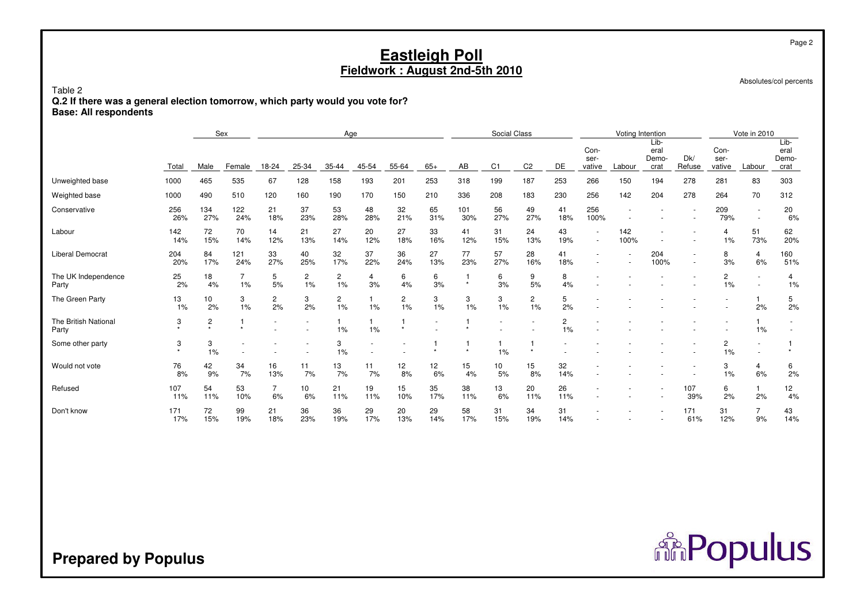Absolutes/col percents

Table 2 **Q.2 If there was a general election tomorrow, which party would you vote for?Base: All respondents**

|                               |             |                | Sex        |                      |           |                      | Age       |                      |                          |            | Social Class   |                      |                      |                                                      | Voting Intention |                               |               |                         | Vote in 2010                       |                               |
|-------------------------------|-------------|----------------|------------|----------------------|-----------|----------------------|-----------|----------------------|--------------------------|------------|----------------|----------------------|----------------------|------------------------------------------------------|------------------|-------------------------------|---------------|-------------------------|------------------------------------|-------------------------------|
|                               | Total       | Male           | Female     | 18-24                | 25-34     | 35-44                | 45-54     | $55 - 64$            | $65+$                    | AB         | C <sub>1</sub> | C <sub>2</sub>       | DE                   | Con-<br>ser-<br>vative                               | Labour           | Lib-<br>eral<br>Demo-<br>crat | Dk/<br>Refuse | Con-<br>ser-<br>vative  | Labour                             | Lib-<br>eral<br>Demo-<br>crat |
| Unweighted base               | 1000        | 465            | 535        | 67                   | 128       | 158                  | 193       | 201                  | 253                      | 318        | 199            | 187                  | 253                  | 266                                                  | 150              | 194                           | 278           | 281                     | 83                                 | 303                           |
| Weighted base                 | 1000        | 490            | 510        | 120                  | 160       | 190                  | 170       | 150                  | 210                      | 336        | 208            | 183                  | 230                  | 256                                                  | 142              | 204                           | 278           | 264                     | 70                                 | 312                           |
| Conservative                  | 256<br>26%  | 134<br>27%     | 122<br>24% | 21<br>18%            | 37<br>23% | 53<br>28%            | 48<br>28% | 32<br>21%            | 65<br>31%                | 101<br>30% | 56<br>27%      | 49<br>27%            | 41<br>18%            | 256<br>100%                                          |                  |                               |               | 209<br>79%              | $\overline{\phantom{a}}$<br>$\sim$ | 20<br>6%                      |
| Labour                        | 142<br>14%  | 72<br>15%      | 70<br>14%  | 14<br>12%            | 21<br>13% | 27<br>14%            | 20<br>12% | 27<br>18%            | 33<br>16%                | 41<br>12%  | 31<br>15%      | 24<br>13%            | 43<br>19%            | $\overline{\phantom{a}}$<br>$\overline{\phantom{a}}$ | 142<br>100%      |                               |               | $\overline{4}$<br>$1\%$ | 51<br>73%                          | 62<br>20%                     |
| Liberal Democrat              | 204<br>20%  | 84<br>17%      | 121<br>24% | 33<br>27%            | 40<br>25% | 32<br>17%            | 37<br>22% | 36<br>24%            | 27<br>13%                | 77<br>23%  | 57<br>27%      | 28<br>16%            | 41<br>18%            | $\overline{\phantom{a}}$                             |                  | 204<br>100%                   | ٠<br>٠        | 8<br>3%                 | 4<br>6%                            | 160<br>51%                    |
| The UK Independence<br>Party  | 25<br>2%    | 18<br>4%       | 1%         | 5<br>5%              | 2<br>1%   | $\overline{c}$<br>1% | 4<br>3%   | 6<br>4%              | 6<br>3%                  | $\star$    | 6<br>3%        | 9<br>5%              | 8<br>4%              |                                                      |                  |                               |               | 2<br>1%                 | $\sim$                             | 4<br>1%                       |
| The Green Party               | 13<br>$1\%$ | 10<br>2%       | 3<br>1%    | $\overline{c}$<br>2% | 3<br>2%   | $\mathbf{2}$<br>1%   | 1%        | $\overline{c}$<br>1% | 3<br>1%                  | 3<br>1%    | 3<br>1%        | $\overline{2}$<br>1% | 5<br>2%              |                                                      |                  |                               |               |                         | 1<br>2%                            | 5<br>2%                       |
| The British National<br>Party | 3           | $\overline{c}$ |            |                      |           | 1%                   | 1%        | $\star$              | $\overline{\phantom{a}}$ |            |                |                      | $\overline{2}$<br>1% |                                                      |                  |                               |               |                         | $\overline{1}$<br>1%               |                               |
| Some other party              | 3           | 3<br>1%        |            |                      |           | 3<br>1%              |           |                      |                          | $\star$    | 1%             |                      |                      |                                                      |                  |                               |               | $\overline{c}$<br>1%    | $\overline{\phantom{a}}$           |                               |
| Would not vote                | 76<br>8%    | 42<br>9%       | 34<br>7%   | 16<br>13%            | 11<br>7%  | 13<br>7%             | 11<br>7%  | 12<br>8%             | 12<br>6%                 | 15<br>4%   | 10<br>5%       | 15<br>8%             | 32<br>14%            |                                                      |                  |                               |               | 3<br>1%                 | 4<br>6%                            | 6<br>2%                       |
| Refused                       | 107<br>11%  | 54<br>11%      | 53<br>10%  | $\overline{7}$<br>6% | 10<br>6%  | 21<br>11%            | 19<br>11% | 15<br>10%            | 35<br>17%                | 38<br>11%  | 13<br>6%       | 20<br>11%            | 26<br>11%            |                                                      |                  |                               | 107<br>39%    | 6<br>2%                 | $\mathbf{1}$<br>2%                 | 12<br>4%                      |
| Don't know                    | 171<br>17%  | 72<br>15%      | 99<br>19%  | 21<br>18%            | 36<br>23% | 36<br>19%            | 29<br>17% | 20<br>13%            | 29<br>14%                | 58<br>17%  | 31<br>15%      | 34<br>19%            | 31<br>14%            |                                                      |                  |                               | 171<br>61%    | 31<br>12%               | $\overline{7}$<br>9%               | 43<br>14%                     |

**Prepared by Populus**

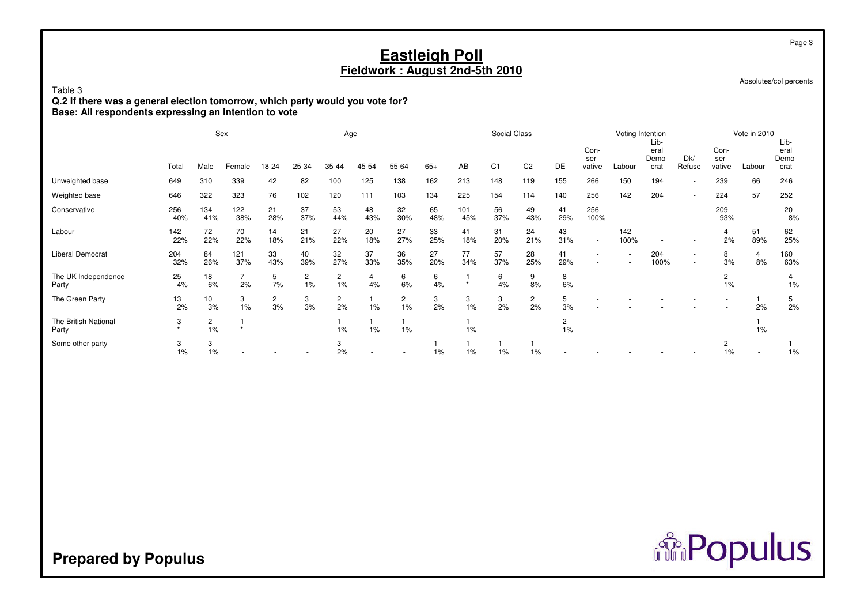Absolutes/col percents

## Table 3

 **Q.2 If there was a general election tomorrow, which party would you vote for?Base: All respondents expressing an intention to vote**

|                               |            |                      | Sex        |                          |                          | Age                  |           |                      |                                                      |            | Social Class   |                      |           |                                                      | Voting Intention |                               |               |                        | Vote in 2010                       |                               |
|-------------------------------|------------|----------------------|------------|--------------------------|--------------------------|----------------------|-----------|----------------------|------------------------------------------------------|------------|----------------|----------------------|-----------|------------------------------------------------------|------------------|-------------------------------|---------------|------------------------|------------------------------------|-------------------------------|
|                               | Total      | Male                 | Female     | 18-24                    | 25-34                    | 35-44                | 45-54     | 55-64                | $65+$                                                | AB         | C <sub>1</sub> | C <sub>2</sub>       | DE        | Con-<br>ser-<br>vative                               | Labour           | Lib-<br>eral<br>Demo-<br>crat | Dk/<br>Refuse | Con-<br>ser-<br>vative | Labour                             | Lib-<br>eral<br>Demo-<br>crat |
| Unweighted base               | 649        | 310                  | 339        | 42                       | 82                       | 100                  | 125       | 138                  | 162                                                  | 213        | 148            | 119                  | 155       | 266                                                  | 150              | 194                           |               | 239                    | 66                                 | 246                           |
| Weighted base                 | 646        | 322                  | 323        | 76                       | 102                      | 120                  | 111       | 103                  | 134                                                  | 225        | 154            | 114                  | 140       | 256                                                  | 142              | 204                           |               | 224                    | 57                                 | 252                           |
| Conservative                  | 256<br>40% | 134<br>41%           | 122<br>38% | 21<br>28%                | 37<br>37%                | 53<br>44%            | 48<br>43% | 32<br>30%            | 65<br>48%                                            | 101<br>45% | 56<br>37%      | 49<br>43%            | 41<br>29% | 256<br>100%                                          |                  |                               |               | 209<br>93%             | $\sim$<br>$\overline{\phantom{a}}$ | 20<br>8%                      |
| Labour                        | 142<br>22% | 72<br>22%            | 70<br>22%  | 14<br>18%                | 21<br>21%                | 27<br>22%            | 20<br>18% | 27<br>27%            | 33<br>25%                                            | 41<br>18%  | 31<br>20%      | 24<br>21%            | 43<br>31% | $\overline{\phantom{a}}$<br>$\overline{\phantom{a}}$ | 142<br>100%      |                               |               | 2%                     | 51<br>89%                          | 62<br>25%                     |
| Liberal Democrat              | 204<br>32% | 84<br>26%            | 121<br>37% | 33<br>43%                | 40<br>39%                | 32<br>27%            | 37<br>33% | 36<br>35%            | 27<br>20%                                            | 77<br>34%  | 57<br>37%      | 28<br>25%            | 41<br>29% | $\sim$<br>$\overline{\phantom{a}}$                   |                  | 204<br>100%                   | $\sim$        | 8<br>3%                | 4<br>8%                            | 160<br>63%                    |
| The UK Independence<br>Party  | 25<br>4%   | 18<br>6%             | 2%         | 5<br>7%                  | 2<br>1%                  | 2<br>1%              | 4<br>4%   | 6<br>6%              | 6<br>4%                                              | $\star$    | 6<br>4%        | 9<br>8%              | 8<br>6%   |                                                      |                  |                               |               | 2<br>1%                |                                    | 4<br>1%                       |
| The Green Party               | 13<br>2%   | 10<br>3%             | 3<br>1%    | $\overline{c}$<br>3%     | 3<br>3%                  | $\overline{c}$<br>2% | 1%        | $\overline{c}$<br>1% | 3<br>2%                                              | 3<br>1%    | 3<br>2%        | $\overline{c}$<br>2% | 5<br>3%   | $\overline{\phantom{a}}$                             |                  |                               |               |                        | 2%                                 | 5<br>2%                       |
| The British National<br>Party | 3<br>÷     | $\overline{c}$<br>1% |            | $\overline{\phantom{a}}$ | $\overline{\phantom{a}}$ | 1%                   | 1%        | 1%                   | $\overline{\phantom{a}}$<br>$\overline{\phantom{a}}$ | 1%         |                |                      | 2<br>1%   |                                                      |                  |                               |               |                        | 1%                                 |                               |
| Some other party              | 3<br>1%    | 3<br>1%              |            |                          |                          | 3<br>2%              |           |                      | $1\%$                                                | 1%         | $1\%$          | 1%                   |           |                                                      |                  |                               |               | 2<br>$1\%$             | $\sim$                             | 1%                            |

# **Prepared by Populus**

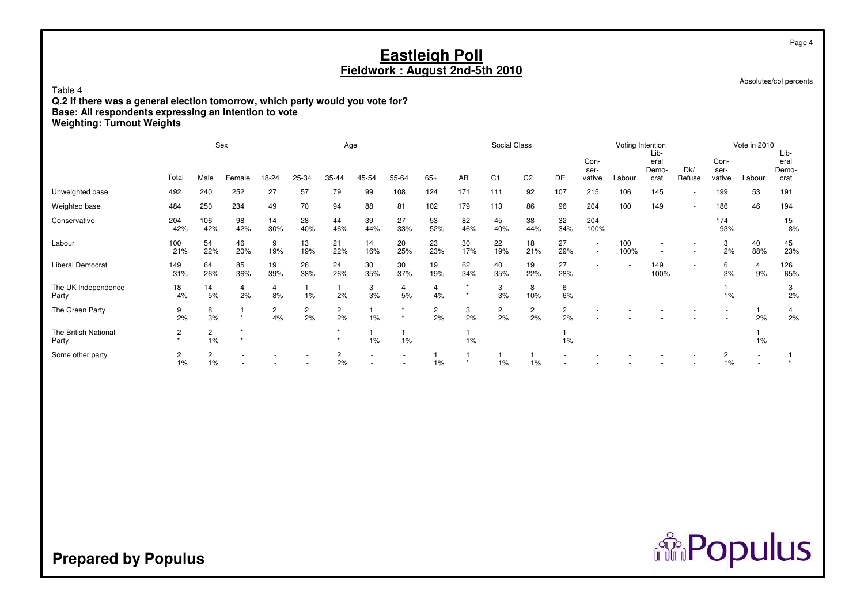Absolutes/col percents

Table 4

 **Q.2 If there was a general election tomorrow, which party would you vote for?Base: All respondents expressing an intention to voteWeighting: Turnout Weights**

|                               |              |            | Sex       |                      |                      | Age                  |           |           |                      |                    | Social Class         |                      |                      |                                    |             | Voting Intention              |                  |                        | Vote in 2010                                         |                               |
|-------------------------------|--------------|------------|-----------|----------------------|----------------------|----------------------|-----------|-----------|----------------------|--------------------|----------------------|----------------------|----------------------|------------------------------------|-------------|-------------------------------|------------------|------------------------|------------------------------------------------------|-------------------------------|
|                               | Total        | Male       | Female    | 18-24                | 25-34                | 35-44                | 45-54     | 55-64     | $65+$                | AB                 | C <sub>1</sub>       | C <sub>2</sub>       | DE                   | Con-<br>ser-<br>vative             | Labour      | Lib-<br>eral<br>Demo-<br>crat | Dk/<br>Refuse    | Con-<br>ser-<br>vative | Labour                                               | Lib-<br>eral<br>Demo-<br>crat |
| Unweighted base               | 492          | 240        | 252       | 27                   | 57                   | 79                   | 99        | 108       | 124                  | 171                | 111                  | 92                   | 107                  | 215                                | 106         | 145                           |                  | 199                    | 53                                                   | 191                           |
| Weighted base                 | 484          | 250        | 234       | 49                   | 70                   | 94                   | 88        | 81        | 102                  | 179                | 113                  | 86                   | 96                   | 204                                | 100         | 149                           | $\sim$           | 186                    | 46                                                   | 194                           |
| Conservative                  | 204<br>42%   | 106<br>42% | 98<br>42% | 14<br>30%            | 28<br>40%            | 44<br>46%            | 39<br>44% | 27<br>33% | 53<br>52%            | 82<br>46%          | 45<br>40%            | 38<br>44%            | 32<br>34%            | 204<br>100%                        |             |                               |                  | 174<br>93%             | $\overline{\phantom{a}}$<br>$\overline{\phantom{a}}$ | 15<br>8%                      |
| Labour                        | 100<br>21%   | 54<br>22%  | 46<br>20% | 9<br>19%             | 13<br>19%            | 21<br>22%            | 14<br>16% | 20<br>25% | 23<br>23%            | 30<br>17%          | 22<br>19%            | 18<br>21%            | 27<br>29%            | $\overline{\phantom{a}}$<br>$\sim$ | 100<br>100% |                               |                  | 3<br>2%                | 40<br>88%                                            | 45<br>23%                     |
| Liberal Democrat              | 149<br>31%   | 64<br>26%  | 85<br>36% | 19<br>39%            | 26<br>38%            | 24<br>26%            | 30<br>35% | 30<br>37% | 19<br>19%            | 62<br>34%          | 40<br>35%            | 19<br>22%            | 27<br>28%            | $\sim$<br>$\sim$                   |             | 149<br>100%                   | $\sim$<br>$\sim$ | 6<br>3%                | 4<br>9%                                              | 126<br>65%                    |
| The UK Independence<br>Party  | 18<br>4%     | 14<br>5%   | 4<br>2%   | 4<br>8%              | 1%                   | 2%                   | 3<br>3%   | 4<br>5%   | 4<br>4%              | $\star$<br>$\star$ | 3<br>3%              | 8<br>10%             | 6<br>6%              |                                    |             |                               |                  | 1%                     | $\overline{\phantom{a}}$                             | 3<br>2%                       |
| The Green Party               | 9<br>2%      | 8<br>3%    |           | $\overline{2}$<br>4% | $\overline{c}$<br>2% | $\overline{2}$<br>2% | 1%        |           | $\overline{c}$<br>2% | 3<br>2%            | $\overline{2}$<br>2% | $\overline{c}$<br>2% | $\overline{c}$<br>2% |                                    |             |                               |                  |                        | 2%                                                   | 4<br>2%                       |
| The British National<br>Party | 2<br>$\star$ | 2<br>1%    |           |                      |                      |                      | 1%        | 1%        | $\sim$<br>٠          | 1%                 |                      |                      | 1%                   |                                    |             |                               |                  |                        | $1\%$                                                |                               |
| Some other party              | 2<br>1%      | 2<br>1%    |           |                      |                      | 2%                   |           |           | $1\%$                | $\star$            | 1%                   | 1%                   |                      |                                    |             |                               |                  | 1%                     | $\overline{\phantom{a}}$                             |                               |

**Prepared by Populus**

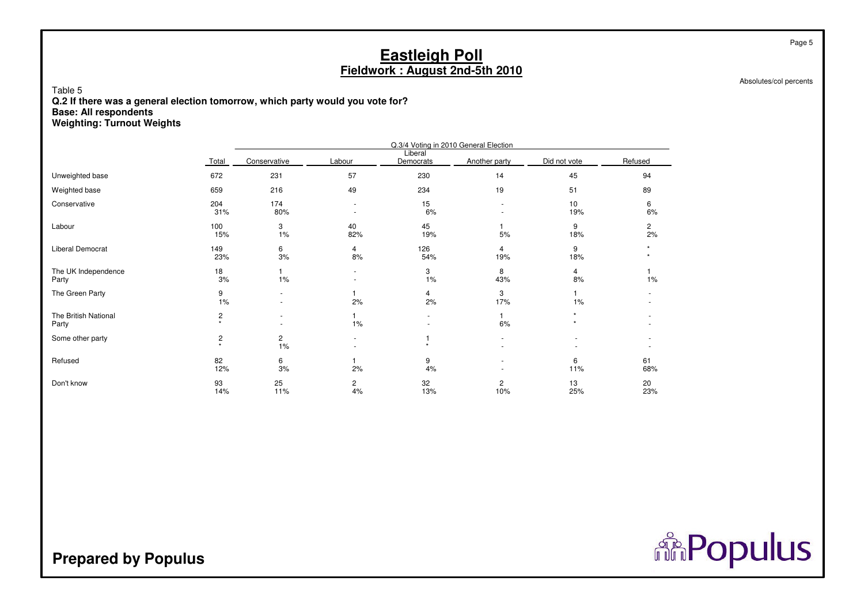Absolutes/col percents

Table 5 **Q.2 If there was a general election tomorrow, which party would you vote for?Base: All respondentsWeighting: Turnout Weights**

|                               |                           |                      |                                  |                      | Q.3/4 Voting in 2010 General Election |              |                      |
|-------------------------------|---------------------------|----------------------|----------------------------------|----------------------|---------------------------------------|--------------|----------------------|
|                               | Total                     | Conservative         | Labour                           | Liberal<br>Democrats | Another party                         | Did not vote | Refused              |
| Unweighted base               | 672                       | 231                  | 57                               | 230                  | 14                                    | 45           | 94                   |
| Weighted base                 | 659                       | 216                  | 49                               | 234                  | 19                                    | 51           | 89                   |
| Conservative                  | 204<br>31%                | 174<br>80%           | $\blacksquare$<br>$\blacksquare$ | 15<br>6%             | $\overline{\phantom{a}}$              | 10<br>19%    | 6<br>6%              |
| Labour                        | 100<br>15%                | 3<br>1%              | 40<br>82%                        | 45<br>19%            | 1<br>5%                               | 9<br>18%     | $\overline{2}$<br>2% |
| Liberal Democrat              | 149<br>23%                | 6<br>3%              | 4<br>8%                          | 126<br>54%           | $\overline{4}$<br>19%                 | 9<br>18%     |                      |
| The UK Independence<br>Party  | 18<br>3%                  | 1%                   | ٠<br>$\blacksquare$              | 3<br>1%              | 8<br>43%                              | 4<br>8%      | 1%                   |
| The Green Party               | 9<br>1%                   | ٠                    | 2%                               | 4<br>2%              | 3<br>17%                              | 1%           |                      |
| The British National<br>Party | $\overline{c}$<br>$\star$ |                      | 1%                               |                      | 1<br>6%                               |              |                      |
| Some other party              | $\overline{c}$<br>$\star$ | $\overline{c}$<br>1% | $\sim$                           |                      | $\sim$                                |              |                      |
| Refused                       | 82<br>12%                 | 6<br>3%              | 2%                               | 9<br>4%              | $\overline{\phantom{a}}$              | 6<br>11%     | 61<br>68%            |
| Don't know                    | 93<br>14%                 | 25<br>11%            | $\overline{c}$<br>4%             | 32<br>13%            | $\overline{c}$<br>10%                 | 13<br>25%    | 20<br>23%            |

# **Prepared by Populus**

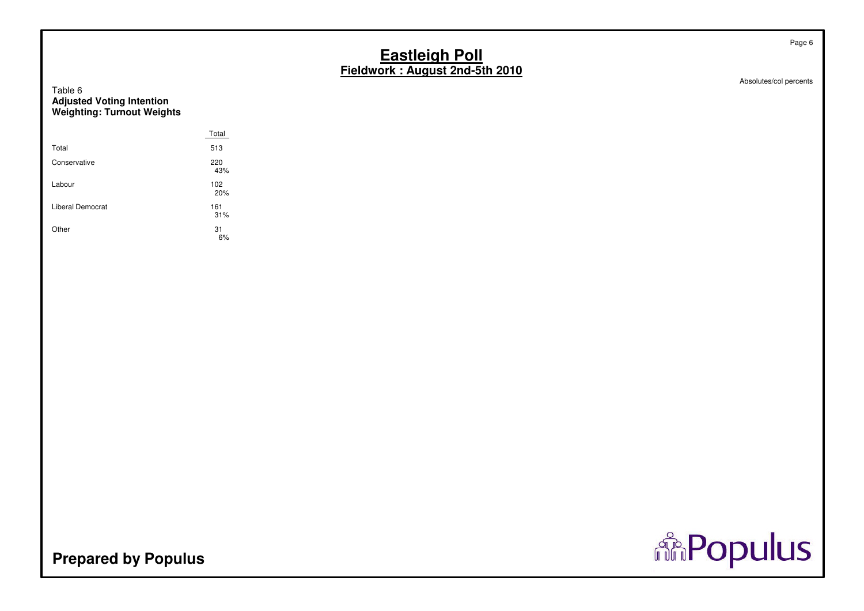# Table 6**Adjusted Voting Intention Weighting: Turnout Weights**

|                  | Total      |
|------------------|------------|
| Total            | 513        |
| Conservative     | 220<br>43% |
| Labour           | 102<br>20% |
| Liberal Democrat | 161<br>31% |
| Other            | 31<br>6%   |



Absolutes/col percents

Page 6

**Prepared by Populus**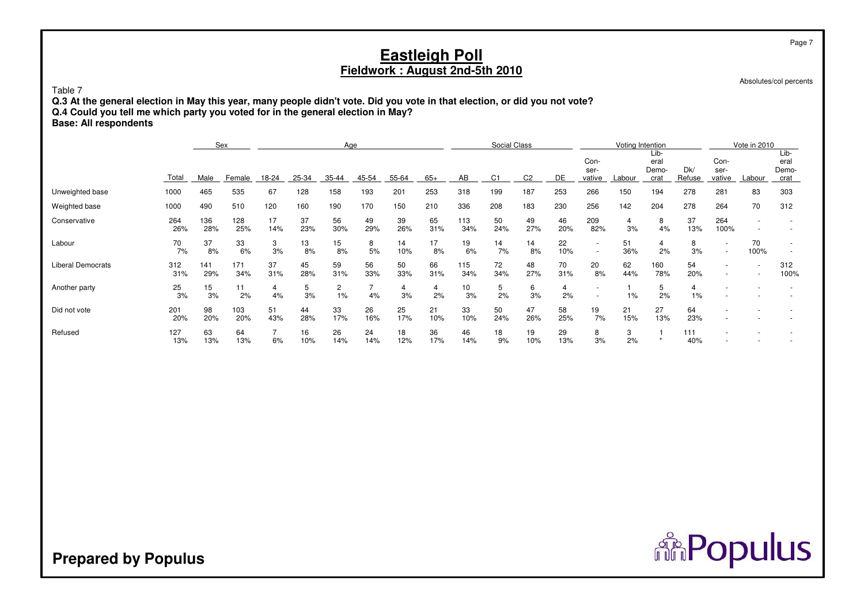| Table 7<br><b>Base: All respondents</b> | <b>Eastleigh Poll</b><br>Fieldwork: August 2nd-5th 2010<br>Q.3 At the general election in May this year, many people didn't vote. Did you vote in that election, or did you not vote?<br>Q.4 Could you tell me which party you voted for in the general election in May? |            |            |                      |           |                      |           |           |           |            |                |                |           |                        |           |                       |                      | Page 7<br>Absolutes/col percents           |            |                               |
|-----------------------------------------|--------------------------------------------------------------------------------------------------------------------------------------------------------------------------------------------------------------------------------------------------------------------------|------------|------------|----------------------|-----------|----------------------|-----------|-----------|-----------|------------|----------------|----------------|-----------|------------------------|-----------|-----------------------|----------------------|--------------------------------------------|------------|-------------------------------|
|                                         | Social Class<br>Sex<br>Voting Intention<br>Age<br>Lib-                                                                                                                                                                                                                   |            |            |                      |           |                      |           |           |           |            |                |                |           |                        |           |                       | Vote in 2010         |                                            |            |                               |
|                                         | Total                                                                                                                                                                                                                                                                    | Male       | Female     | 18-24                | 25-34     | 35-44                | 45-54     | 55-64     | $65+$     | AB         | C <sub>1</sub> | C <sub>2</sub> | DE        | Con-<br>ser-<br>vative | Labour    | eral<br>Demo-<br>crat | Dk/<br>Refuse        | Con-<br>ser-<br>vative                     | Labour     | Lib-<br>eral<br>Demo-<br>crat |
| Unweighted base                         | 1000                                                                                                                                                                                                                                                                     | 465        | 535        | 67                   | 128       | 158                  | 193       | 201       | 253       | 318        | 199            | 187            | 253       | 266                    | 150       | 194                   | 278                  | 281                                        | 83         | 303                           |
| Weighted base                           | 1000                                                                                                                                                                                                                                                                     | 490        | 510        | 120                  | 160       | 190                  | 170       | 150       | 210       | 336        | 208            | 183            | 230       | 256                    | 142       | 204                   | 278                  | 264                                        | 70         | 312                           |
| Conservative                            | 264<br>26%                                                                                                                                                                                                                                                               | 136<br>28% | 128<br>25% | 17<br>14%            | 37<br>23% | 56<br>30%            | 49<br>29% | 39<br>26% | 65<br>31% | 113<br>34% | 50<br>24%      | 49<br>27%      | 46<br>20% | 209<br>82%             | 4<br>3%   | 8<br>4%               | 37<br>13%            | 264<br>100%                                |            |                               |
| Labour                                  | 70<br>7%                                                                                                                                                                                                                                                                 | 37<br>8%   | 33<br>6%   | 3<br>3%              | 13<br>8%  | 15<br>8%             | 8<br>5%   | 14<br>10% | 17<br>8%  | 19<br>6%   | 14<br>7%       | 14<br>8%       | 22<br>10% | $\overline{a}$         | 51<br>36% | 4<br>2%               | 8<br>3%              | $\overline{\phantom{a}}$<br>$\sim$         | 70<br>100% |                               |
| <b>Liberal Democrats</b>                | 312<br>31%                                                                                                                                                                                                                                                               | 141<br>29% | 171<br>34% | 37<br>31%            | 45<br>28% | 59<br>31%            | 56<br>33% | 50<br>33% | 66<br>31% | 115<br>34% | 72<br>34%      | 48<br>27%      | 70<br>31% | 20<br>8%               | 62<br>44% | 160<br>78%            | 54<br>20%            | $\blacksquare$<br>$\overline{\phantom{a}}$ |            | 312<br>100%                   |
| Another party                           | 25<br>3%                                                                                                                                                                                                                                                                 | 15<br>3%   | 11<br>2%   | $\overline{4}$<br>4% | 5<br>3%   | $\overline{c}$<br>1% | 7<br>4%   | 4<br>3%   | 4<br>2%   | 10<br>3%   | 5<br>2%        | 6<br>3%        | 4<br>2%   |                        | $1\%$     | 5<br>2%               | $\overline{4}$<br>1% |                                            |            |                               |
| Did not vote                            | 201<br>20%                                                                                                                                                                                                                                                               | 98<br>20%  | 103<br>20% | 51<br>43%            | 44<br>28% | 33<br>17%            | 26<br>16% | 25<br>17% | 21<br>10% | 33<br>10%  | 50<br>24%      | 47<br>26%      | 58<br>25% | 19<br>7%               | 21<br>15% | 27<br>13%             | 64<br>23%            |                                            |            |                               |
| Refused                                 | 127<br>13%                                                                                                                                                                                                                                                               | 63<br>13%  | 64<br>13%  | $\overline{7}$<br>6% | 16<br>10% | 26<br>14%            | 24<br>14% | 18<br>12% | 36<br>17% | 46<br>14%  | 18<br>9%       | 19<br>10%      | 29<br>13% | 8<br>3%                | 3<br>2%   | $\star$               | 111<br>40%           |                                            |            |                               |

**Prepared by Populus**

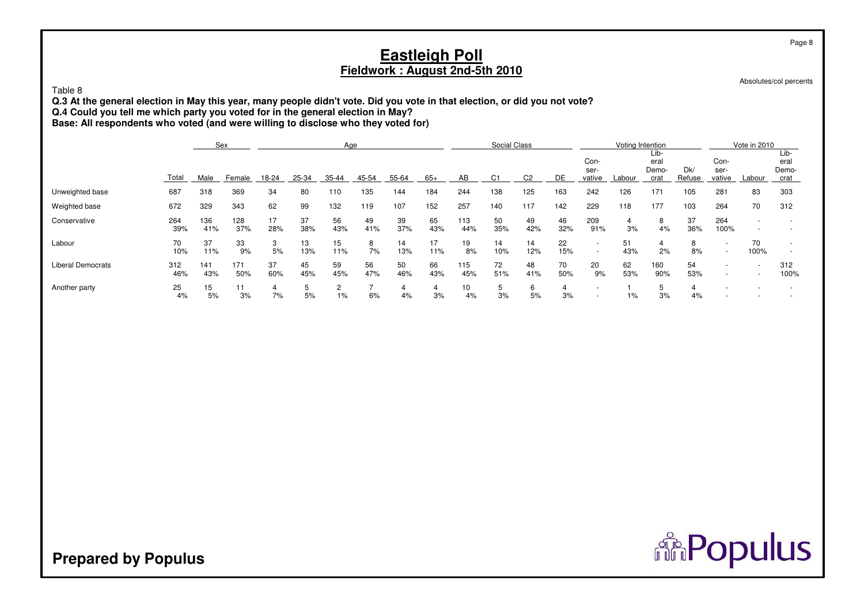| Table 8<br>Q.3 At the general election in May this year, many people didn't vote. Did you vote in that election, or did you not vote?<br>Q.4 Could you tell me which party you voted for in the general election in May?<br>Base: All respondents who voted (and were willing to disclose who they voted for) |            |            |            |           |           |           |           |                      |           | <b>Eastleigh Poll</b> | Fieldwork: August 2nd-5th 2010 |                |           |                                    |           |                                  |               |                                            |              | Page 8<br>Absolutes/col percents |
|---------------------------------------------------------------------------------------------------------------------------------------------------------------------------------------------------------------------------------------------------------------------------------------------------------------|------------|------------|------------|-----------|-----------|-----------|-----------|----------------------|-----------|-----------------------|--------------------------------|----------------|-----------|------------------------------------|-----------|----------------------------------|---------------|--------------------------------------------|--------------|----------------------------------|
|                                                                                                                                                                                                                                                                                                               | Sex<br>Age |            |            |           |           |           |           |                      |           |                       |                                |                |           |                                    |           | Voting Intention<br>Lib-<br>eral |               | Con-                                       | Vote in 2010 | Lib-<br>eral                     |
|                                                                                                                                                                                                                                                                                                               | Total      | Male       | Female     | 18-24     | 25-34     | 35-44     | 45-54     | 55-64                | $65+$     | AB                    | C <sub>1</sub>                 | C <sub>2</sub> | DE        | Con-<br>ser-<br>vative             | Labour    | Demo-<br>crat                    | Dk/<br>Refuse | ser-<br>vative                             | Labour       | Demo-<br>crat                    |
| Unweighted base                                                                                                                                                                                                                                                                                               | 687        | 318        | 369        | 34        | 80        | 110       | 135       | 144                  | 184       | 244                   | 138                            | 125            | 163       | 242                                | 126       | 171                              | 105           | 281                                        | 83           | 303                              |
| Weighted base                                                                                                                                                                                                                                                                                                 | 672        | 329        | 343        | 62        | 99        | 132       | 119       | 107                  | 152       | 257                   | 140                            | 117            | 142       | 229                                | 118       | 177                              | 103           | 264                                        | 70           | 312                              |
| Conservative                                                                                                                                                                                                                                                                                                  | 264<br>39% | 136<br>41% | 128<br>37% | 17<br>28% | 37<br>38% | 56<br>43% | 49<br>41% | 39<br>37%            | 65<br>43% | 113<br>44%            | 50<br>35%                      | 49<br>42%      | 46<br>32% | 209<br>91%                         | 4<br>3%   | 8<br>4%                          | 37<br>36%     | 264<br>100%                                |              |                                  |
| Labour                                                                                                                                                                                                                                                                                                        | 70<br>10%  | 37<br>11%  | 33<br>9%   | 3<br>5%   | 13<br>13% | 15<br>11% | 8<br>7%   | 14<br>13%            | 17<br>11% | 19<br>8%              | 14<br>10%                      | 14<br>12%      | 22<br>15% | $\sim$<br>$\overline{\phantom{a}}$ | 51<br>43% | $\overline{4}$<br>2%             | 8<br>8%       | $\overline{\phantom{a}}$<br>$\sim$         | 70<br>100%   |                                  |
| <b>Liberal Democrats</b>                                                                                                                                                                                                                                                                                      | 312<br>46% | 141<br>43% | 171<br>50% | 37<br>60% | 45<br>45% | 59<br>45% | 56<br>47% | 50<br>46%            | 66<br>43% | 115<br>45%            | 72<br>51%                      | 48<br>41%      | 70<br>50% | 20<br>9%                           | 62<br>53% | 160<br>90%                       | 54<br>53%     | $\overline{\phantom{a}}$<br>$\overline{a}$ |              | 312<br>100%                      |
| Another party                                                                                                                                                                                                                                                                                                 | 25<br>4%   | 15<br>5%   | 11<br>3%   | 4<br>7%   | 5<br>5%   | 2<br>1%   | 7<br>6%   | $\overline{4}$<br>4% | 4<br>3%   | 10<br>4%              | 5<br>3%                        | 6<br>5%        | 4<br>3%   | $\overline{\phantom{a}}$           | 1%        | 5<br>3%                          | 4<br>4%       |                                            |              |                                  |

**Prepared by Populus**